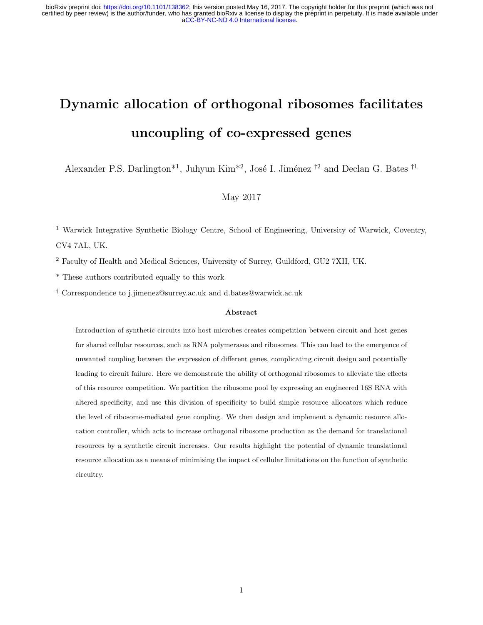# Dynamic allocation of orthogonal ribosomes facilitates uncoupling of co-expressed genes

Alexander P.S. Darlington<sup>\*1</sup>, Juhyun Kim<sup>\*2</sup>, José I. Jiménez <sup>†2</sup> and Declan G. Bates <sup>†1</sup>

#### May 2017

<sup>1</sup> Warwick Integrative Synthetic Biology Centre, School of Engineering, University of Warwick, Coventry, CV4 7AL, UK.

<sup>2</sup> Faculty of Health and Medical Sciences, University of Surrey, Guildford, GU2 7XH, UK.

\* These authors contributed equally to this work

† Correspondence to j.jimenez@surrey.ac.uk and d.bates@warwick.ac.uk

#### Abstract

Introduction of synthetic circuits into host microbes creates competition between circuit and host genes for shared cellular resources, such as RNA polymerases and ribosomes. This can lead to the emergence of unwanted coupling between the expression of different genes, complicating circuit design and potentially leading to circuit failure. Here we demonstrate the ability of orthogonal ribosomes to alleviate the effects of this resource competition. We partition the ribosome pool by expressing an engineered 16S RNA with altered specificity, and use this division of specificity to build simple resource allocators which reduce the level of ribosome-mediated gene coupling. We then design and implement a dynamic resource allocation controller, which acts to increase orthogonal ribosome production as the demand for translational resources by a synthetic circuit increases. Our results highlight the potential of dynamic translational resource allocation as a means of minimising the impact of cellular limitations on the function of synthetic circuitry.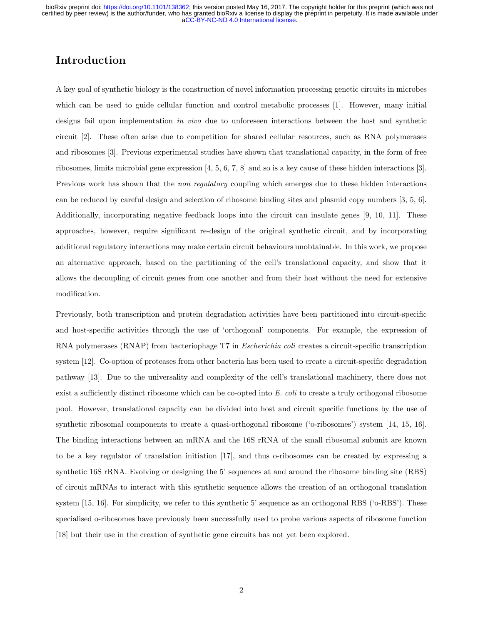#### Introduction

A key goal of synthetic biology is the construction of novel information processing genetic circuits in microbes which can be used to guide cellular function and control metabolic processes [1]. However, many initial designs fail upon implementation in vivo due to unforeseen interactions between the host and synthetic circuit [2]. These often arise due to competition for shared cellular resources, such as RNA polymerases and ribosomes [3]. Previous experimental studies have shown that translational capacity, in the form of free ribosomes, limits microbial gene expression [4, 5, 6, 7, 8] and so is a key cause of these hidden interactions [3]. Previous work has shown that the *non regulatory* coupling which emerges due to these hidden interactions can be reduced by careful design and selection of ribosome binding sites and plasmid copy numbers [3, 5, 6]. Additionally, incorporating negative feedback loops into the circuit can insulate genes [9, 10, 11]. These approaches, however, require significant re-design of the original synthetic circuit, and by incorporating additional regulatory interactions may make certain circuit behaviours unobtainable. In this work, we propose an alternative approach, based on the partitioning of the cell's translational capacity, and show that it allows the decoupling of circuit genes from one another and from their host without the need for extensive modification.

Previously, both transcription and protein degradation activities have been partitioned into circuit-specific and host-specific activities through the use of 'orthogonal' components. For example, the expression of RNA polymerases (RNAP) from bacteriophage T7 in *Escherichia coli* creates a circuit-specific transcription system [12]. Co-option of proteases from other bacteria has been used to create a circuit-specific degradation pathway [13]. Due to the universality and complexity of the cell's translational machinery, there does not exist a sufficiently distinct ribosome which can be co-opted into  $E.$  coli to create a truly orthogonal ribosome pool. However, translational capacity can be divided into host and circuit specific functions by the use of synthetic ribosomal components to create a quasi-orthogonal ribosome ('o-ribosomes') system [14, 15, 16]. The binding interactions between an mRNA and the 16S rRNA of the small ribosomal subunit are known to be a key regulator of translation initiation [17], and thus o-ribosomes can be created by expressing a synthetic 16S rRNA. Evolving or designing the 5' sequences at and around the ribosome binding site (RBS) of circuit mRNAs to interact with this synthetic sequence allows the creation of an orthogonal translation system [15, 16]. For simplicity, we refer to this synthetic 5' sequence as an orthogonal RBS ('o-RBS'). These specialised o-ribosomes have previously been successfully used to probe various aspects of ribosome function [18] but their use in the creation of synthetic gene circuits has not yet been explored.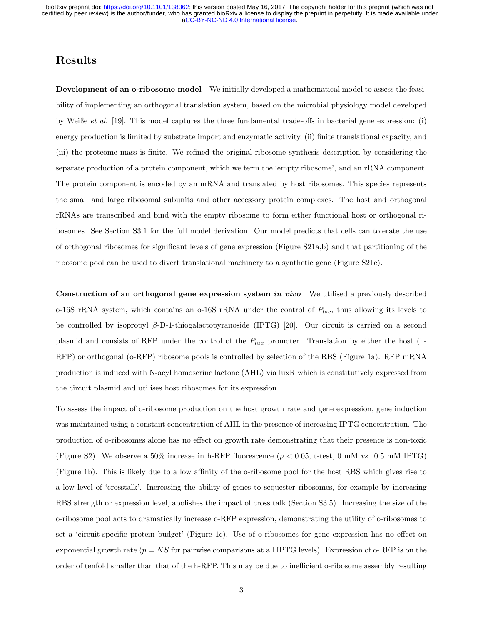#### Results

Development of an o-ribosome model We initially developed a mathematical model to assess the feasibility of implementing an orthogonal translation system, based on the microbial physiology model developed by Weiße et al. [19]. This model captures the three fundamental trade-offs in bacterial gene expression: (i) energy production is limited by substrate import and enzymatic activity, (ii) finite translational capacity, and (iii) the proteome mass is finite. We refined the original ribosome synthesis description by considering the separate production of a protein component, which we term the 'empty ribosome', and an rRNA component. The protein component is encoded by an mRNA and translated by host ribosomes. This species represents the small and large ribosomal subunits and other accessory protein complexes. The host and orthogonal rRNAs are transcribed and bind with the empty ribosome to form either functional host or orthogonal ribosomes. See Section S3.1 for the full model derivation. Our model predicts that cells can tolerate the use of orthogonal ribosomes for significant levels of gene expression (Figure S21a,b) and that partitioning of the ribosome pool can be used to divert translational machinery to a synthetic gene (Figure S21c).

Construction of an orthogonal gene expression system in vivo We utilised a previously described o-16S rRNA system, which contains an o-16S rRNA under the control of  $P_{lac}$ , thus allowing its levels to be controlled by isopropyl β-D-1-thiogalactopyranoside (IPTG) [20]. Our circuit is carried on a second plasmid and consists of RFP under the control of the  $P_{lux}$  promoter. Translation by either the host (h-RFP) or orthogonal (o-RFP) ribosome pools is controlled by selection of the RBS (Figure 1a). RFP mRNA production is induced with N-acyl homoserine lactone (AHL) via luxR which is constitutively expressed from the circuit plasmid and utilises host ribosomes for its expression.

To assess the impact of o-ribosome production on the host growth rate and gene expression, gene induction was maintained using a constant concentration of AHL in the presence of increasing IPTG concentration. The production of o-ribosomes alone has no effect on growth rate demonstrating that their presence is non-toxic (Figure S2). We observe a 50% increase in h-RFP fluorescence  $(p < 0.05, t-test, 0 \text{ mM } vs. 0.5 \text{ mM IPTG})$ (Figure 1b). This is likely due to a low affinity of the o-ribosome pool for the host RBS which gives rise to a low level of 'crosstalk'. Increasing the ability of genes to sequester ribosomes, for example by increasing RBS strength or expression level, abolishes the impact of cross talk (Section S3.5). Increasing the size of the o-ribosome pool acts to dramatically increase o-RFP expression, demonstrating the utility of o-ribosomes to set a 'circuit-specific protein budget' (Figure 1c). Use of o-ribosomes for gene expression has no effect on exponential growth rate  $(p = NS$  for pairwise comparisons at all IPTG levels). Expression of o-RFP is on the order of tenfold smaller than that of the h-RFP. This may be due to inefficient o-ribosome assembly resulting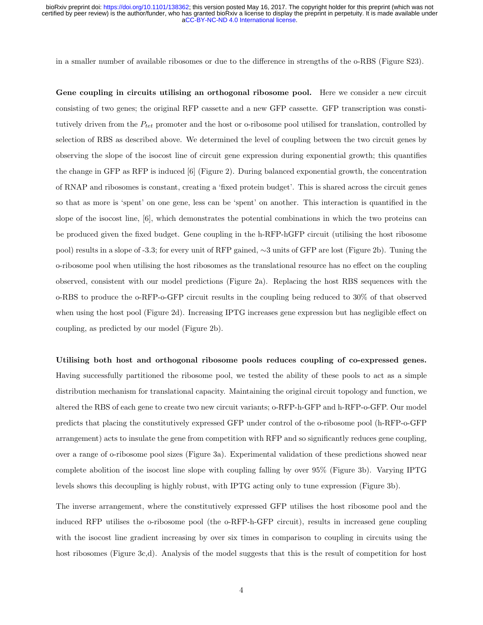in a smaller number of available ribosomes or due to the difference in strengths of the o-RBS (Figure S23).

Gene coupling in circuits utilising an orthogonal ribosome pool. Here we consider a new circuit consisting of two genes; the original RFP cassette and a new GFP cassette. GFP transcription was constitutively driven from the  $P_{tet}$  promoter and the host or o-ribosome pool utilised for translation, controlled by selection of RBS as described above. We determined the level of coupling between the two circuit genes by observing the slope of the isocost line of circuit gene expression during exponential growth; this quantifies the change in GFP as RFP is induced [6] (Figure 2). During balanced exponential growth, the concentration of RNAP and ribosomes is constant, creating a 'fixed protein budget'. This is shared across the circuit genes so that as more is 'spent' on one gene, less can be 'spent' on another. This interaction is quantified in the slope of the isocost line, [6], which demonstrates the potential combinations in which the two proteins can be produced given the fixed budget. Gene coupling in the h-RFP-hGFP circuit (utilising the host ribosome pool) results in a slope of -3.3; for every unit of RFP gained, ∼3 units of GFP are lost (Figure 2b). Tuning the o-ribosome pool when utilising the host ribosomes as the translational resource has no effect on the coupling observed, consistent with our model predictions (Figure 2a). Replacing the host RBS sequences with the o-RBS to produce the o-RFP-o-GFP circuit results in the coupling being reduced to 30% of that observed when using the host pool (Figure 2d). Increasing IPTG increases gene expression but has negligible effect on coupling, as predicted by our model (Figure 2b).

Utilising both host and orthogonal ribosome pools reduces coupling of co-expressed genes. Having successfully partitioned the ribosome pool, we tested the ability of these pools to act as a simple distribution mechanism for translational capacity. Maintaining the original circuit topology and function, we altered the RBS of each gene to create two new circuit variants; o-RFP-h-GFP and h-RFP-o-GFP. Our model predicts that placing the constitutively expressed GFP under control of the o-ribosome pool (h-RFP-o-GFP arrangement) acts to insulate the gene from competition with RFP and so significantly reduces gene coupling, over a range of o-ribosome pool sizes (Figure 3a). Experimental validation of these predictions showed near complete abolition of the isocost line slope with coupling falling by over 95% (Figure 3b). Varying IPTG levels shows this decoupling is highly robust, with IPTG acting only to tune expression (Figure 3b).

The inverse arrangement, where the constitutively expressed GFP utilises the host ribosome pool and the induced RFP utilises the o-ribosome pool (the o-RFP-h-GFP circuit), results in increased gene coupling with the isocost line gradient increasing by over six times in comparison to coupling in circuits using the host ribosomes (Figure 3c,d). Analysis of the model suggests that this is the result of competition for host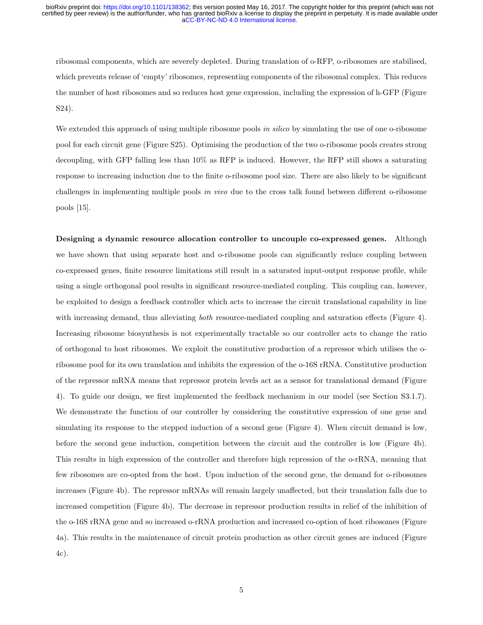ribosomal components, which are severely depleted. During translation of o-RFP, o-ribosomes are stabilised, which prevents release of 'empty' ribosomes, representing components of the ribosomal complex. This reduces the number of host ribosomes and so reduces host gene expression, including the expression of h-GFP (Figure S24).

We extended this approach of using multiple ribosome pools in silico by simulating the use of one o-ribosome pool for each circuit gene (Figure S25). Optimising the production of the two o-ribosome pools creates strong decoupling, with GFP falling less than 10% as RFP is induced. However, the RFP still shows a saturating response to increasing induction due to the finite o-ribosome pool size. There are also likely to be significant challenges in implementing multiple pools in vivo due to the cross talk found between different o-ribosome pools [15].

Designing a dynamic resource allocation controller to uncouple co-expressed genes. Although we have shown that using separate host and o-ribosome pools can significantly reduce coupling between co-expressed genes, finite resource limitations still result in a saturated input-output response profile, while using a single orthogonal pool results in significant resource-mediated coupling. This coupling can, however, be exploited to design a feedback controller which acts to increase the circuit translational capability in line with increasing demand, thus alleviating *both* resource-mediated coupling and saturation effects (Figure 4). Increasing ribosome biosynthesis is not experimentally tractable so our controller acts to change the ratio of orthogonal to host ribosomes. We exploit the constitutive production of a repressor which utilises the oribosome pool for its own translation and inhibits the expression of the o-16S rRNA. Constitutive production of the repressor mRNA means that repressor protein levels act as a sensor for translational demand (Figure 4). To guide our design, we first implemented the feedback mechanism in our model (see Section S3.1.7). We demonstrate the function of our controller by considering the constitutive expression of one gene and simulating its response to the stepped induction of a second gene (Figure 4). When circuit demand is low, before the second gene induction, competition between the circuit and the controller is low (Figure 4b). This results in high expression of the controller and therefore high repression of the o-rRNA, meaning that few ribosomes are co-opted from the host. Upon induction of the second gene, the demand for o-ribosomes increases (Figure 4b). The repressor mRNAs will remain largely unaffected, but their translation falls due to increased competition (Figure 4b). The decrease in repressor production results in relief of the inhibition of the o-16S rRNA gene and so increased o-rRNA production and increased co-option of host ribosomes (Figure 4a). This results in the maintenance of circuit protein production as other circuit genes are induced (Figure 4c).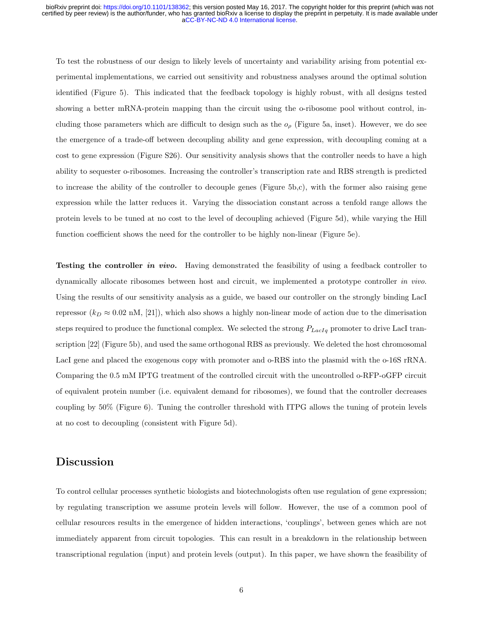To test the robustness of our design to likely levels of uncertainty and variability arising from potential experimental implementations, we carried out sensitivity and robustness analyses around the optimal solution identified (Figure 5). This indicated that the feedback topology is highly robust, with all designs tested showing a better mRNA-protein mapping than the circuit using the o-ribosome pool without control, including those parameters which are difficult to design such as the  $o<sub>\rho</sub>$  (Figure 5a, inset). However, we do see the emergence of a trade-off between decoupling ability and gene expression, with decoupling coming at a cost to gene expression (Figure S26). Our sensitivity analysis shows that the controller needs to have a high ability to sequester o-ribosomes. Increasing the controller's transcription rate and RBS strength is predicted to increase the ability of the controller to decouple genes (Figure 5b,c), with the former also raising gene expression while the latter reduces it. Varying the dissociation constant across a tenfold range allows the protein levels to be tuned at no cost to the level of decoupling achieved (Figure 5d), while varying the Hill function coefficient shows the need for the controller to be highly non-linear (Figure 5e).

**Testing the controller in vivo.** Having demonstrated the feasibility of using a feedback controller to dynamically allocate ribosomes between host and circuit, we implemented a prototype controller in vivo. Using the results of our sensitivity analysis as a guide, we based our controller on the strongly binding LacI repressor  $(k_D \approx 0.02 \text{ nM}, [21])$ , which also shows a highly non-linear mode of action due to the dimerisation steps required to produce the functional complex. We selected the strong  $P_{LacIq}$  promoter to drive LacI transcription [22] (Figure 5b), and used the same orthogonal RBS as previously. We deleted the host chromosomal LacI gene and placed the exogenous copy with promoter and o-RBS into the plasmid with the o-16S rRNA. Comparing the 0.5 mM IPTG treatment of the controlled circuit with the uncontrolled o-RFP-oGFP circuit of equivalent protein number (i.e. equivalent demand for ribosomes), we found that the controller decreases coupling by 50% (Figure 6). Tuning the controller threshold with ITPG allows the tuning of protein levels at no cost to decoupling (consistent with Figure 5d).

#### Discussion

To control cellular processes synthetic biologists and biotechnologists often use regulation of gene expression; by regulating transcription we assume protein levels will follow. However, the use of a common pool of cellular resources results in the emergence of hidden interactions, 'couplings', between genes which are not immediately apparent from circuit topologies. This can result in a breakdown in the relationship between transcriptional regulation (input) and protein levels (output). In this paper, we have shown the feasibility of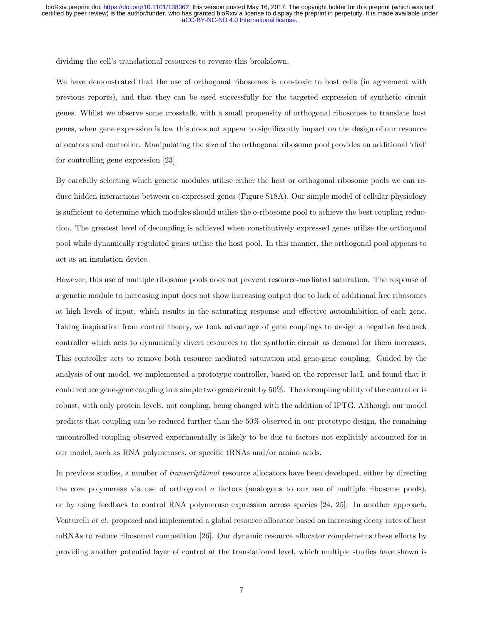dividing the cell's translational resources to reverse this breakdown.

We have demonstrated that the use of orthogonal ribosomes is non-toxic to host cells (in agreement with previous reports), and that they can be used successfully for the targeted expression of synthetic circuit genes. Whilst we observe some crosstalk, with a small propensity of orthogonal ribosomes to translate host genes, when gene expression is low this does not appear to significantly impact on the design of our resource allocators and controller. Manipulating the size of the orthogonal ribosome pool provides an additional 'dial' for controlling gene expression [23].

By carefully selecting which genetic modules utilise either the host or orthogonal ribosome pools we can reduce hidden interactions between co-expressed genes (Figure S18A). Our simple model of cellular physiology is sufficient to determine which modules should utilise the o-ribosome pool to achieve the best coupling reduction. The greatest level of decoupling is achieved when constitutively expressed genes utilise the orthogonal pool while dynamically regulated genes utilise the host pool. In this manner, the orthogonal pool appears to act as an insulation device.

However, this use of multiple ribosome pools does not prevent resource-mediated saturation. The response of a genetic module to increasing input does not show increasing output due to lack of additional free ribosomes at high levels of input, which results in the saturating response and effective autoinhibition of each gene. Taking inspiration from control theory, we took advantage of gene couplings to design a negative feedback controller which acts to dynamically divert resources to the synthetic circuit as demand for them increases. This controller acts to remove both resource mediated saturation and gene-gene coupling. Guided by the analysis of our model, we implemented a prototype controller, based on the repressor lacI, and found that it could reduce gene-gene coupling in a simple two gene circuit by 50%. The decoupling ability of the controller is robust, with only protein levels, not coupling, being changed with the addition of IPTG. Although our model predicts that coupling can be reduced further than the 50% observed in our prototype design, the remaining uncontrolled coupling observed experimentally is likely to be due to factors not explicitly accounted for in our model, such as RNA polymerases, or specific tRNAs and/or amino acids.

In previous studies, a number of *transcriptional* resource allocators have been developed, either by directing the core polymerase via use of orthogonal  $\sigma$  factors (analogous to our use of multiple ribosome pools), or by using feedback to control RNA polymerase expression across species [24, 25]. In another approach, Venturelli et al. proposed and implemented a global resource allocator based on increasing decay rates of host mRNAs to reduce ribosomal competition [26]. Our dynamic resource allocator complements these efforts by providing another potential layer of control at the translational level, which multiple studies have shown is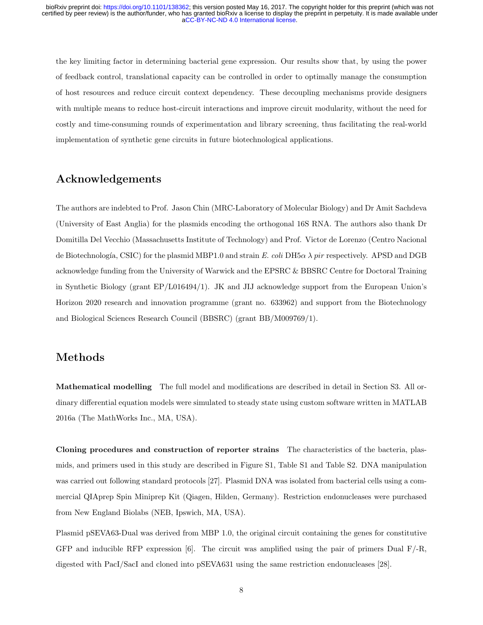the key limiting factor in determining bacterial gene expression. Our results show that, by using the power of feedback control, translational capacity can be controlled in order to optimally manage the consumption of host resources and reduce circuit context dependency. These decoupling mechanisms provide designers with multiple means to reduce host-circuit interactions and improve circuit modularity, without the need for costly and time-consuming rounds of experimentation and library screening, thus facilitating the real-world implementation of synthetic gene circuits in future biotechnological applications.

#### Acknowledgements

The authors are indebted to Prof. Jason Chin (MRC-Laboratory of Molecular Biology) and Dr Amit Sachdeva (University of East Anglia) for the plasmids encoding the orthogonal 16S RNA. The authors also thank Dr Domitilla Del Vecchio (Massachusetts Institute of Technology) and Prof. Victor de Lorenzo (Centro Nacional de Biotechnología, CSIC) for the plasmid MBP1.0 and strain E. coli DH5 $\alpha \lambda$  pir respectively. APSD and DGB acknowledge funding from the University of Warwick and the EPSRC & BBSRC Centre for Doctoral Training in Synthetic Biology (grant EP/L016494/1). JK and JIJ acknowledge support from the European Union's Horizon 2020 research and innovation programme (grant no. 633962) and support from the Biotechnology and Biological Sciences Research Council (BBSRC) (grant BB/M009769/1).

#### Methods

Mathematical modelling The full model and modifications are described in detail in Section S3. All ordinary differential equation models were simulated to steady state using custom software written in MATLAB 2016a (The MathWorks Inc., MA, USA).

Cloning procedures and construction of reporter strains The characteristics of the bacteria, plasmids, and primers used in this study are described in Figure S1, Table S1 and Table S2. DNA manipulation was carried out following standard protocols [27]. Plasmid DNA was isolated from bacterial cells using a commercial QIAprep Spin Miniprep Kit (Qiagen, Hilden, Germany). Restriction endonucleases were purchased from New England Biolabs (NEB, Ipswich, MA, USA).

Plasmid pSEVA63-Dual was derived from MBP 1.0, the original circuit containing the genes for constitutive GFP and inducible RFP expression [6]. The circuit was amplified using the pair of primers Dual F/-R, digested with PacI/SacI and cloned into pSEVA631 using the same restriction endonucleases [28].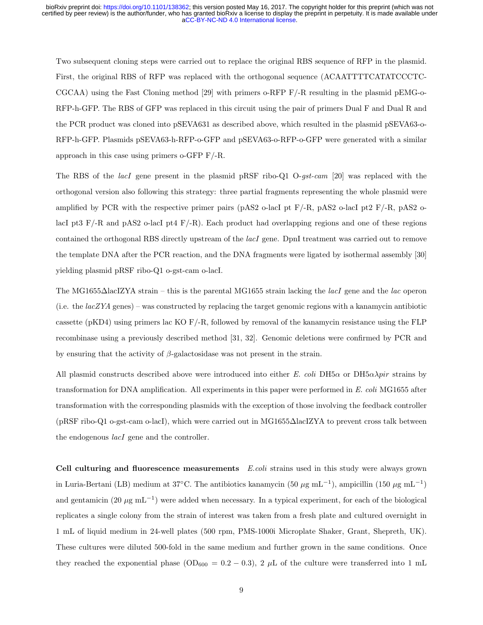Two subsequent cloning steps were carried out to replace the original RBS sequence of RFP in the plasmid. First, the original RBS of RFP was replaced with the orthogonal sequence (ACAATTTTCATATCCCTC-CGCAA) using the Fast Cloning method [29] with primers o-RFP F/-R resulting in the plasmid pEMG-o-RFP-h-GFP. The RBS of GFP was replaced in this circuit using the pair of primers Dual F and Dual R and the PCR product was cloned into pSEVA631 as described above, which resulted in the plasmid pSEVA63-o-RFP-h-GFP. Plasmids pSEVA63-h-RFP-o-GFP and pSEVA63-o-RFP-o-GFP were generated with a similar approach in this case using primers o-GFP F/-R.

The RBS of the lacI gene present in the plasmid pRSF ribo-Q1 O-gst-cam [20] was replaced with the orthogonal version also following this strategy: three partial fragments representing the whole plasmid were amplified by PCR with the respective primer pairs (pAS2 o-lacI pt  $F/-R$ , pAS2 o-lacI pt2  $F/-R$ , pAS2 olacI pt3 F/-R and pAS2 o-lacI pt4 F/-R). Each product had overlapping regions and one of these regions contained the orthogonal RBS directly upstream of the *lacI* gene. DpnI treatment was carried out to remove the template DNA after the PCR reaction, and the DNA fragments were ligated by isothermal assembly [30] yielding plasmid pRSF ribo-Q1 o-gst-cam o-lacI.

The MG1655∆lacIZYA strain – this is the parental MG1655 strain lacking the *lacI* gene and the *lac* operon (i.e. the  $lacZYA$  genes) – was constructed by replacing the target genomic regions with a kanamycin antibiotic cassette (pKD4) using primers lac KO F/-R, followed by removal of the kanamycin resistance using the FLP recombinase using a previously described method [31, 32]. Genomic deletions were confirmed by PCR and by ensuring that the activity of  $\beta$ -galactosidase was not present in the strain.

All plasmid constructs described above were introduced into either E. coli DH5 $\alpha$  or DH5 $\alpha\lambda$ pir strains by transformation for DNA amplification. All experiments in this paper were performed in E. coli MG1655 after transformation with the corresponding plasmids with the exception of those involving the feedback controller (pRSF ribo-Q1 o-gst-cam o-lacI), which were carried out in MG1655∆lacIZYA to prevent cross talk between the endogenous *lacI* gene and the controller.

Cell culturing and fluorescence measurements E.coli strains used in this study were always grown in Luria-Bertani (LB) medium at 37°C. The antibiotics kanamycin (50  $\mu$ g mL<sup>-1</sup>), ampicillin (150  $\mu$ g mL<sup>-1</sup>) and gentamicin (20  $\mu$ g mL<sup>-1</sup>) were added when necessary. In a typical experiment, for each of the biological replicates a single colony from the strain of interest was taken from a fresh plate and cultured overnight in 1 mL of liquid medium in 24-well plates (500 rpm, PMS-1000i Microplate Shaker, Grant, Shepreth, UK). These cultures were diluted 500-fold in the same medium and further grown in the same conditions. Once they reached the exponential phase ( $OD_{600} = 0.2 - 0.3$ ), 2  $\mu$ L of the culture were transferred into 1 mL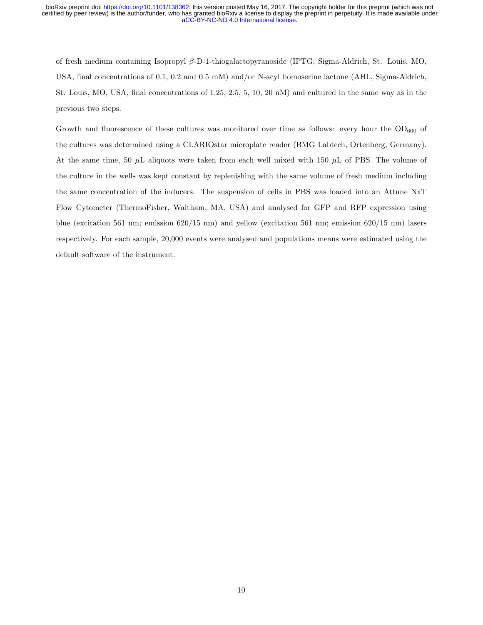of fresh medium containing Isopropyl β-D-1-thiogalactopyranoside (IPTG, Sigma-Aldrich, St. Louis, MO, USA, final concentrations of 0.1, 0.2 and 0.5 mM) and/or N-acyl homoserine lactone (AHL, Sigma-Aldrich, St. Louis, MO, USA, final concentrations of 1.25, 2.5, 5, 10, 20 nM) and cultured in the same way as in the previous two steps.

Growth and fluorescence of these cultures was monitored over time as follows: every hour the  $OD_{600}$  of the cultures was determined using a CLARIOstar microplate reader (BMG Labtech, Ortenberg, Germany). At the same time, 50  $\mu$ L aliquots were taken from each well mixed with 150  $\mu$ L of PBS. The volume of the culture in the wells was kept constant by replenishing with the same volume of fresh medium including the same concentration of the inducers. The suspension of cells in PBS was loaded into an Attune NxT Flow Cytometer (ThermoFisher, Waltham, MA, USA) and analysed for GFP and RFP expression using blue (excitation 561 nm; emission 620/15 nm) and yellow (excitation 561 nm; emission 620/15 nm) lasers respectively. For each sample, 20,000 events were analysed and populations means were estimated using the default software of the instrument.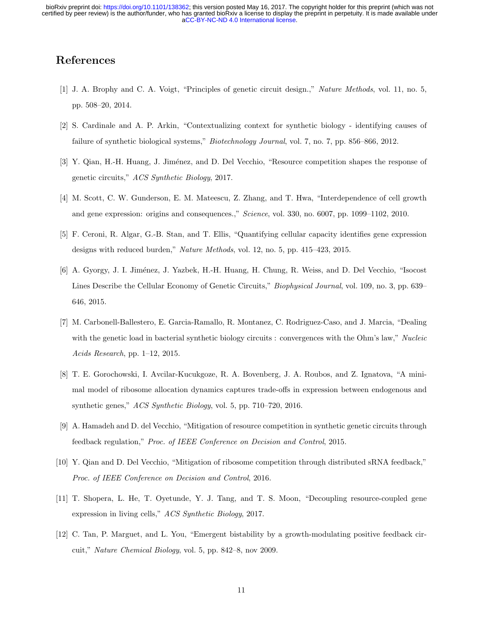### References

- [1] J. A. Brophy and C. A. Voigt, "Principles of genetic circuit design.," Nature Methods, vol. 11, no. 5, pp. 508–20, 2014.
- [2] S. Cardinale and A. P. Arkin, "Contextualizing context for synthetic biology identifying causes of failure of synthetic biological systems," Biotechnology Journal, vol. 7, no. 7, pp. 856–866, 2012.
- [3] Y. Qian, H.-H. Huang, J. Jiménez, and D. Del Vecchio, "Resource competition shapes the response of genetic circuits," ACS Synthetic Biology, 2017.
- [4] M. Scott, C. W. Gunderson, E. M. Mateescu, Z. Zhang, and T. Hwa, "Interdependence of cell growth and gene expression: origins and consequences.," Science, vol. 330, no. 6007, pp. 1099–1102, 2010.
- [5] F. Ceroni, R. Algar, G.-B. Stan, and T. Ellis, "Quantifying cellular capacity identifies gene expression designs with reduced burden," Nature Methods, vol. 12, no. 5, pp. 415–423, 2015.
- [6] A. Gyorgy, J. I. Jiménez, J. Yazbek, H.-H. Huang, H. Chung, R. Weiss, and D. Del Vecchio, "Isocost" Lines Describe the Cellular Economy of Genetic Circuits," Biophysical Journal, vol. 109, no. 3, pp. 639– 646, 2015.
- [7] M. Carbonell-Ballestero, E. Garcia-Ramallo, R. Montanez, C. Rodriguez-Caso, and J. Marcia, "Dealing with the genetic load in bacterial synthetic biology circuits : convergences with the Ohm's law," Nucleic Acids Research, pp. 1–12, 2015.
- [8] T. E. Gorochowski, I. Avcilar-Kucukgoze, R. A. Bovenberg, J. A. Roubos, and Z. Ignatova, "A minimal model of ribosome allocation dynamics captures trade-offs in expression between endogenous and synthetic genes," ACS Synthetic Biology, vol. 5, pp. 710–720, 2016.
- [9] A. Hamadeh and D. del Vecchio, "Mitigation of resource competition in synthetic genetic circuits through feedback regulation," Proc. of IEEE Conference on Decision and Control, 2015.
- [10] Y. Qian and D. Del Vecchio, "Mitigation of ribosome competition through distributed sRNA feedback," Proc. of IEEE Conference on Decision and Control, 2016.
- [11] T. Shopera, L. He, T. Oyetunde, Y. J. Tang, and T. S. Moon, "Decoupling resource-coupled gene expression in living cells," ACS Synthetic Biology, 2017.
- [12] C. Tan, P. Marguet, and L. You, "Emergent bistability by a growth-modulating positive feedback circuit," Nature Chemical Biology, vol. 5, pp. 842–8, nov 2009.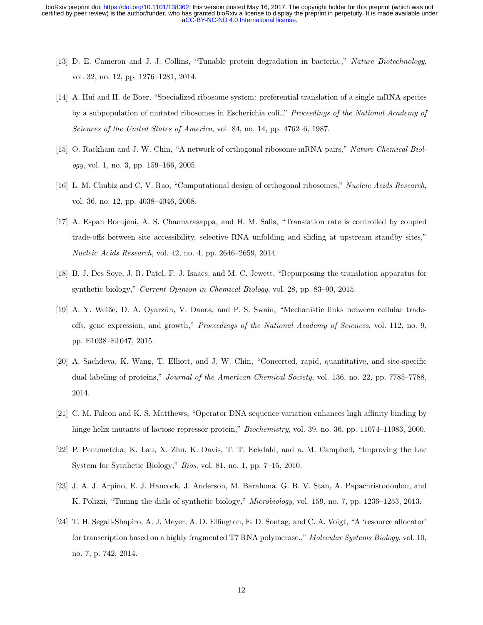- [13] D. E. Cameron and J. J. Collins, "Tunable protein degradation in bacteria.," Nature Biotechnology, vol. 32, no. 12, pp. 1276–1281, 2014.
- [14] A. Hui and H. de Boer, "Specialized ribosome system: preferential translation of a single mRNA species by a subpopulation of mutated ribosomes in Escherichia coli.," Proceedings of the National Academy of Sciences of the United States of America, vol. 84, no. 14, pp. 4762–6, 1987.
- [15] O. Rackham and J. W. Chin, "A network of orthogonal ribosome·mRNA pairs," Nature Chemical Biology, vol. 1, no. 3, pp. 159–166, 2005.
- [16] L. M. Chubiz and C. V. Rao, "Computational design of orthogonal ribosomes," Nucleic Acids Research, vol. 36, no. 12, pp. 4038–4046, 2008.
- [17] A. Espah Borujeni, A. S. Channarasappa, and H. M. Salis, "Translation rate is controlled by coupled trade-offs between site accessibility, selective RNA unfolding and sliding at upstream standby sites," Nucleic Acids Research, vol. 42, no. 4, pp. 2646–2659, 2014.
- [18] B. J. Des Soye, J. R. Patel, F. J. Isaacs, and M. C. Jewett, "Repurposing the translation apparatus for synthetic biology," Current Opinion in Chemical Biology, vol. 28, pp. 83–90, 2015.
- [19] A. Y. Weiße, D. A. Oyarzún, V. Danos, and P. S. Swain, "Mechanistic links between cellular tradeoffs, gene expression, and growth," Proceedings of the National Academy of Sciences, vol. 112, no. 9, pp. E1038–E1047, 2015.
- [20] A. Sachdeva, K. Wang, T. Elliott, and J. W. Chin, "Concerted, rapid, quantitative, and site-specific dual labeling of proteins," *Journal of the American Chemical Society*, vol. 136, no. 22, pp. 7785–7788, 2014.
- [21] C. M. Falcon and K. S. Matthews, "Operator DNA sequence variation enhances high affinity binding by hinge helix mutants of lactose repressor protein," *Biochemistry*, vol. 39, no. 36, pp. 11074–11083, 2000.
- [22] P. Penumetcha, K. Lau, X. Zhu, K. Davis, T. T. Eckdahl, and a. M. Campbell, "Improving the Lac System for Synthetic Biology," Bios, vol. 81, no. 1, pp. 7–15, 2010.
- [23] J. A. J. Arpino, E. J. Hancock, J. Anderson, M. Barahona, G. B. V. Stan, A. Papachristodoulou, and K. Polizzi, "Tuning the dials of synthetic biology," Microbiology, vol. 159, no. 7, pp. 1236–1253, 2013.
- [24] T. H. Segall-Shapiro, A. J. Meyer, A. D. Ellington, E. D. Sontag, and C. A. Voigt, "A 'resource allocator' for transcription based on a highly fragmented T7 RNA polymerase.," Molecular Systems Biology, vol. 10, no. 7, p. 742, 2014.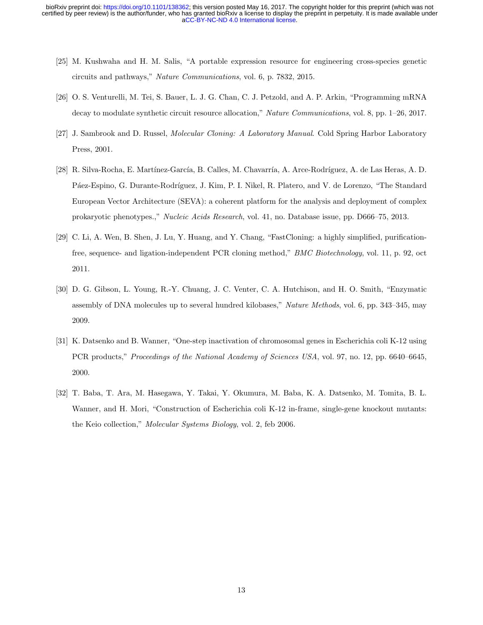- [25] M. Kushwaha and H. M. Salis, "A portable expression resource for engineering cross-species genetic circuits and pathways," Nature Communications, vol. 6, p. 7832, 2015.
- [26] O. S. Venturelli, M. Tei, S. Bauer, L. J. G. Chan, C. J. Petzold, and A. P. Arkin, "Programming mRNA decay to modulate synthetic circuit resource allocation," Nature Communications, vol. 8, pp. 1–26, 2017.
- [27] J. Sambrook and D. Russel, Molecular Cloning: A Laboratory Manual. Cold Spring Harbor Laboratory Press, 2001.
- [28] R. Silva-Rocha, E. Martínez-García, B. Calles, M. Chavarría, A. Arce-Rodríguez, A. de Las Heras, A. D. Páez-Espino, G. Durante-Rodríguez, J. Kim, P. I. Nikel, R. Platero, and V. de Lorenzo, "The Standard European Vector Architecture (SEVA): a coherent platform for the analysis and deployment of complex prokaryotic phenotypes.," Nucleic Acids Research, vol. 41, no. Database issue, pp. D666–75, 2013.
- [29] C. Li, A. Wen, B. Shen, J. Lu, Y. Huang, and Y. Chang, "FastCloning: a highly simplified, purificationfree, sequence- and ligation-independent PCR cloning method," BMC Biotechnology, vol. 11, p. 92, oct 2011.
- [30] D. G. Gibson, L. Young, R.-Y. Chuang, J. C. Venter, C. A. Hutchison, and H. O. Smith, "Enzymatic assembly of DNA molecules up to several hundred kilobases," Nature Methods, vol. 6, pp. 343–345, may 2009.
- [31] K. Datsenko and B. Wanner, "One-step inactivation of chromosomal genes in Escherichia coli K-12 using PCR products," Proceedings of the National Academy of Sciences USA, vol. 97, no. 12, pp. 6640–6645, 2000.
- [32] T. Baba, T. Ara, M. Hasegawa, Y. Takai, Y. Okumura, M. Baba, K. A. Datsenko, M. Tomita, B. L. Wanner, and H. Mori, "Construction of Escherichia coli K-12 in-frame, single-gene knockout mutants: the Keio collection," *Molecular Systems Biology*, vol. 2, feb 2006.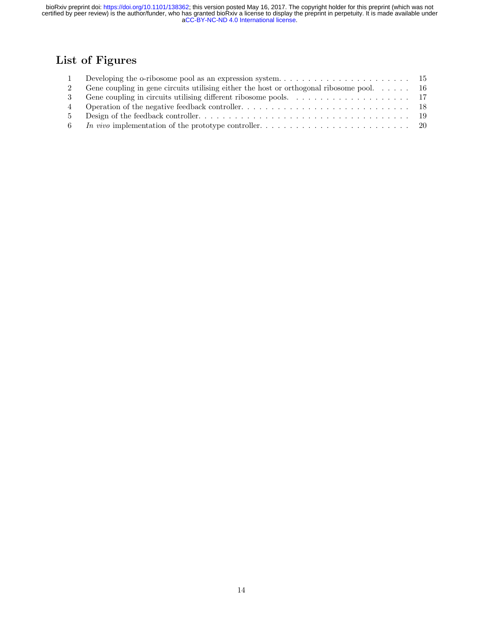## List of Figures

|       | Gene coupling in gene circuits utilising either the host or orthogonal ribosome pool. $\dots$ . $16$ |  |
|-------|------------------------------------------------------------------------------------------------------|--|
|       |                                                                                                      |  |
|       |                                                                                                      |  |
| $5 -$ |                                                                                                      |  |
|       |                                                                                                      |  |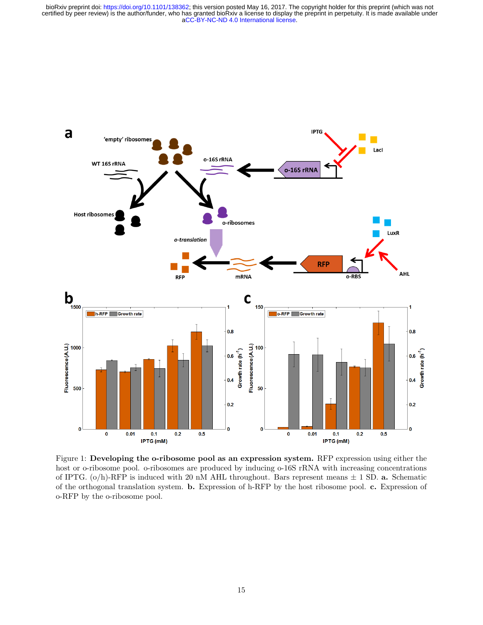

Figure 1: Developing the o-ribosome pool as an expression system. RFP expression using either the host or o-ribosome pool. o-ribosomes are produced by inducing o-16S rRNA with increasing concentrations of IPTG.  $(o/h)$ -RFP is induced with 20 nM AHL throughout. Bars represent means  $\pm$  1 SD. a. Schematic of the orthogonal translation system. b. Expression of h-RFP by the host ribosome pool. c. Expression of o-RFP by the o-ribosome pool.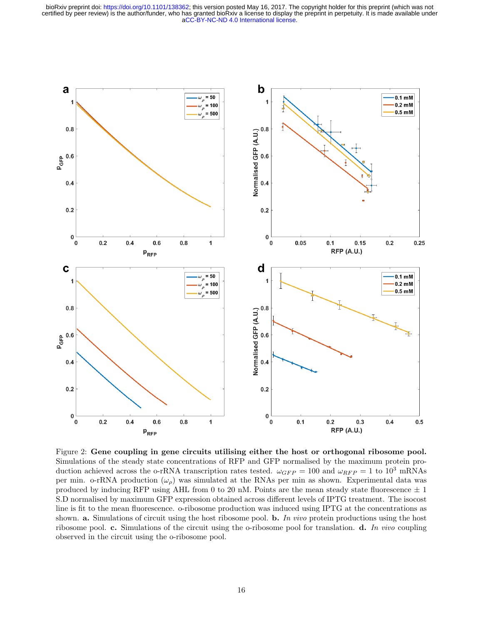

Figure 2: Gene coupling in gene circuits utilising either the host or orthogonal ribosome pool. Simulations of the steady state concentrations of RFP and GFP normalised by the maximum protein production achieved across the o-rRNA transcription rates tested.  $\omega_{GFP} = 100$  and  $\omega_{RFP} = 1$  to  $10^3$  mRNAs per min. o-rRNA production  $(\omega_{\rho})$  was simulated at the RNAs per min as shown. Experimental data was produced by inducing RFP using AHL from 0 to 20 nM. Points are the mean steady state fluorescence  $\pm$  1 S.D normalised by maximum GFP expression obtained across different levels of IPTG treatment. The isocost line is fit to the mean fluorescence. o-ribosome production was induced using IPTG at the concentrations as shown. **a.** Simulations of circuit using the host ribosome pool. **b.** In vivo protein productions using the host ribosome pool. c. Simulations of the circuit using the o-ribosome pool for translation. d. In vivo coupling observed in the circuit using the o-ribosome pool.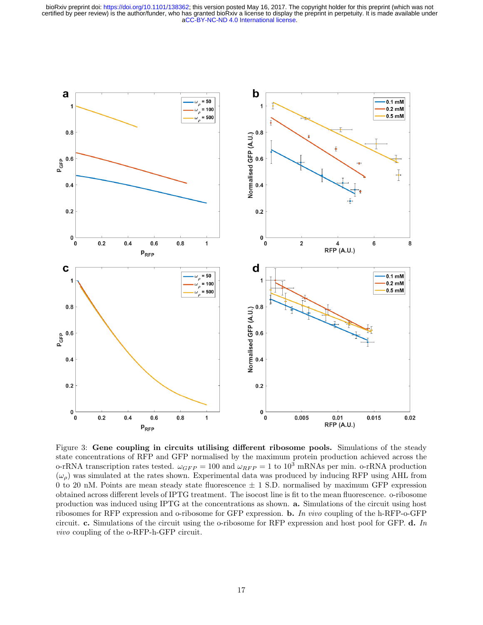

Figure 3: Gene coupling in circuits utilising different ribosome pools. Simulations of the steady state concentrations of RFP and GFP normalised by the maximum protein production achieved across the o-rRNA transcription rates tested.  $\omega_{GFP} = 100$  and  $\omega_{RFP} = 1$  to  $10^3$  mRNAs per min. o-rRNA production  $(\omega_o)$  was simulated at the rates shown. Experimental data was produced by inducing RFP using AHL from 0 to 20 nM. Points are mean steady state fluorescence  $\pm$  1 S.D. normalised by maximum GFP expression obtained across different levels of IPTG treatment. The isocost line is fit to the mean fluorescence. o-ribosome production was induced using IPTG at the concentrations as shown. a. Simulations of the circuit using host ribosomes for RFP expression and o-ribosome for GFP expression. b. In vivo coupling of the h-RFP-o-GFP circuit. c. Simulations of the circuit using the o-ribosome for RFP expression and host pool for GFP. d. In vivo coupling of the o-RFP-h-GFP circuit.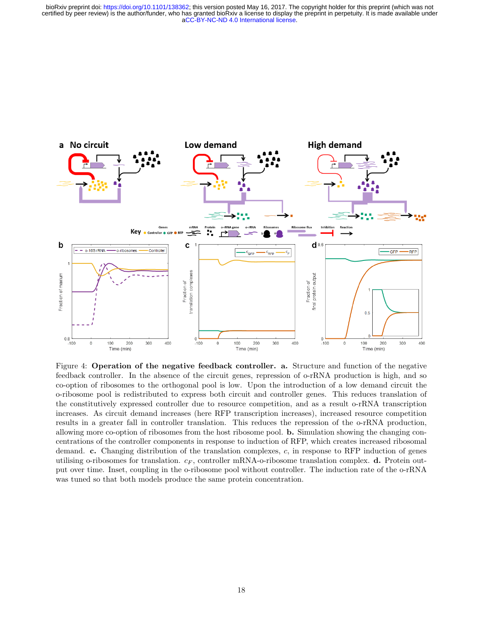

Figure 4: Operation of the negative feedback controller. a. Structure and function of the negative feedback controller. In the absence of the circuit genes, repression of o-rRNA production is high, and so co-option of ribosomes to the orthogonal pool is low. Upon the introduction of a low demand circuit the o-ribosome pool is redistributed to express both circuit and controller genes. This reduces translation of the constitutively expressed controller due to resource competition, and as a result o-rRNA transcription increases. As circuit demand increases (here RFP transcription increases), increased resource competition results in a greater fall in controller translation. This reduces the repression of the o-rRNA production, allowing more co-option of ribosomes from the host ribosome pool. b. Simulation showing the changing concentrations of the controller components in response to induction of RFP, which creates increased ribosomal demand. c. Changing distribution of the translation complexes, c, in response to RFP induction of genes utilising o-ribosomes for translation.  $c_F$ , controller mRNA-o-ribosome translation complex. **d.** Protein output over time. Inset, coupling in the o-ribosome pool without controller. The induction rate of the o-rRNA was tuned so that both models produce the same protein concentration.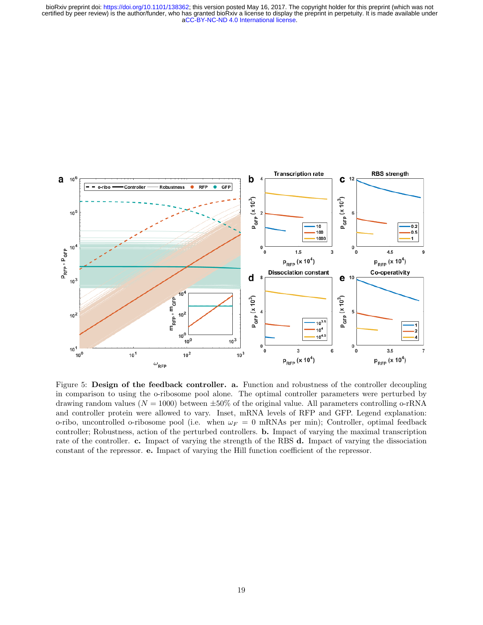

Figure 5: Design of the feedback controller. a. Function and robustness of the controller decoupling in comparison to using the o-ribosome pool alone. The optimal controller parameters were perturbed by drawing random values ( $N = 1000$ ) between  $\pm 50\%$  of the original value. All parameters controlling o-rRNA and controller protein were allowed to vary. Inset, mRNA levels of RFP and GFP. Legend explanation: o-ribo, uncontrolled o-ribosome pool (i.e. when  $\omega_F = 0$  mRNAs per min); Controller, optimal feedback controller; Robustness, action of the perturbed controllers. b. Impact of varying the maximal transcription rate of the controller. c. Impact of varying the strength of the RBS d. Impact of varying the dissociation constant of the repressor. e. Impact of varying the Hill function coefficient of the repressor.